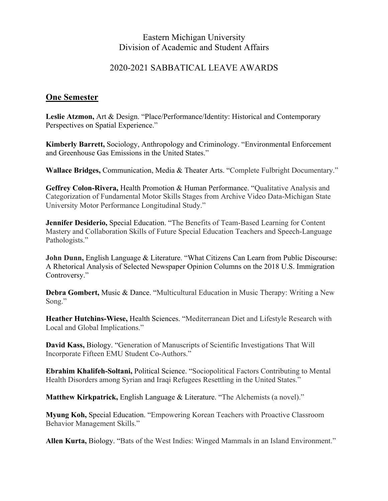## Eastern Michigan University Division of Academic and Student Affairs

## 2020-2021 SABBATICAL LEAVE AWARDS

## **One Semester**

**Leslie Atzmon,** Art & Design. "Place/Performance/Identity: Historical and Contemporary Perspectives on Spatial Experience."

**Kimberly Barrett,** Sociology, Anthropology and Criminology. "Environmental Enforcement and Greenhouse Gas Emissions in the United States."

**Wallace Bridges,** Communication, Media & Theater Arts. "Complete Fulbright Documentary."

**Geffrey Colon-Rivera,** Health Promotion & Human Performance. "Qualitative Analysis and Categorization of Fundamental Motor Skills Stages from Archive Video Data-Michigan State University Motor Performance Longitudinal Study."

**Jennifer Desiderio,** Special Education. "The Benefits of Team-Based Learning for Content Mastery and Collaboration Skills of Future Special Education Teachers and Speech-Language Pathologists."

**John Dunn,** English Language & Literature. "What Citizens Can Learn from Public Discourse: A Rhetorical Analysis of Selected Newspaper Opinion Columns on the 2018 U.S. Immigration Controversy."

**Debra Gombert,** Music & Dance. "Multicultural Education in Music Therapy: Writing a New Song."

**Heather Hutchins-Wiese,** Health Sciences. "Mediterranean Diet and Lifestyle Research with Local and Global Implications."

**David Kass,** Biology. "Generation of Manuscripts of Scientific Investigations That Will Incorporate Fifteen EMU Student Co-Authors."

**Ebrahim Khalifeh-Soltani,** Political Science. "Sociopolitical Factors Contributing to Mental Health Disorders among Syrian and Iraqi Refugees Resettling in the United States."

**Matthew Kirkpatrick,** English Language & Literature. "The Alchemists (a novel)."

**Myung Koh,** Special Education. "Empowering Korean Teachers with Proactive Classroom Behavior Management Skills."

**Allen Kurta,** Biology. "Bats of the West Indies: Winged Mammals in an Island Environment."